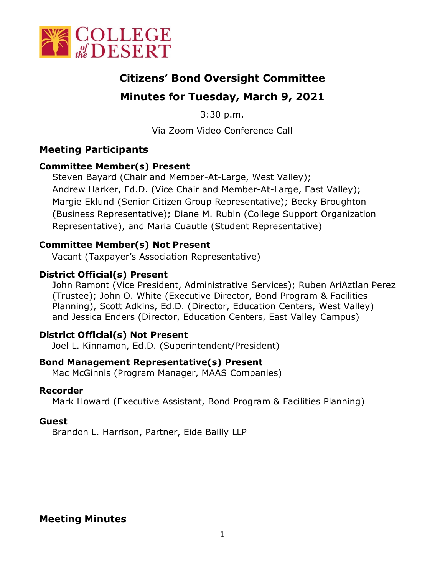

# **Citizens' Bond Oversight Committee**

# **Minutes for Tuesday, March 9, 2021**

3:30 p.m.

Via Zoom Video Conference Call

### **Meeting Participants**

### **Committee Member(s) Present**

Steven Bayard (Chair and Member-At-Large, West Valley); Andrew Harker, Ed.D. (Vice Chair and Member-At-Large, East Valley); Margie Eklund (Senior Citizen Group Representative); Becky Broughton (Business Representative); Diane M. Rubin (College Support Organization Representative), and Maria Cuautle (Student Representative)

### **Committee Member(s) Not Present**

Vacant (Taxpayer's Association Representative)

### **District Official(s) Present**

John Ramont (Vice President, Administrative Services); Ruben AriAztlan Perez (Trustee); John O. White (Executive Director, Bond Program & Facilities Planning), Scott Adkins, Ed.D. (Director, Education Centers, West Valley) and Jessica Enders (Director, Education Centers, East Valley Campus)

#### **District Official(s) Not Present**

Joel L. Kinnamon, Ed.D. (Superintendent/President)

#### **Bond Management Representative(s) Present**

Mac McGinnis (Program Manager, MAAS Companies)

#### **Recorder**

Mark Howard (Executive Assistant, Bond Program & Facilities Planning)

#### **Guest**

Brandon L. Harrison, Partner, Eide Bailly LLP

## **Meeting Minutes**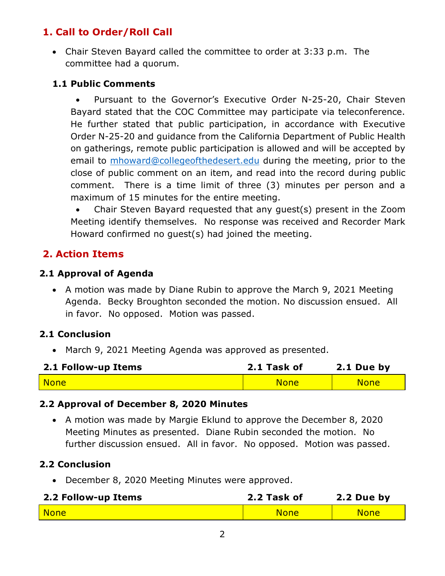## **1. Call to Order/Roll Call**

• Chair Steven Bayard called the committee to order at 3:33 p.m. The committee had a quorum.

#### **1.1 Public Comments**

• Pursuant to the Governor's Executive Order N-25-20, Chair Steven Bayard stated that the COC Committee may participate via teleconference. He further stated that public participation, in accordance with Executive Order N-25-20 and guidance from the California Department of Public Health on gatherings, remote public participation is allowed and will be accepted by email to [mhoward@collegeofthedesert.edu](mailto:mhoward@collegeofthedesert.edu) during the meeting, prior to the close of public comment on an item, and read into the record during public comment. There is a time limit of three (3) minutes per person and a maximum of 15 minutes for the entire meeting.

• Chair Steven Bayard requested that any guest(s) present in the Zoom Meeting identify themselves. No response was received and Recorder Mark Howard confirmed no guest(s) had joined the meeting.

## **2. Action Items**

#### **2.1 Approval of Agenda**

• A motion was made by Diane Rubin to approve the March 9, 2021 Meeting Agenda. Becky Broughton seconded the motion. No discussion ensued. All in favor. No opposed. Motion was passed.

#### **2.1 Conclusion**

• March 9, 2021 Meeting Agenda was approved as presented.

| 2.1 Follow-up Items | 2.1 Task of | 2.1 Due by  |
|---------------------|-------------|-------------|
| <mark>  None</mark> | <b>None</b> | <b>None</b> |

#### **2.2 Approval of December 8, 2020 Minutes**

• A motion was made by Margie Eklund to approve the December 8, 2020 Meeting Minutes as presented. Diane Rubin seconded the motion. No further discussion ensued. All in favor. No opposed. Motion was passed.

#### **2.2 Conclusion**

• December 8, 2020 Meeting Minutes were approved.

| 2.2 Follow-up Items | 2.2 Task of | 2.2 Due by  |
|---------------------|-------------|-------------|
| <b>None</b>         | <b>None</b> | <b>None</b> |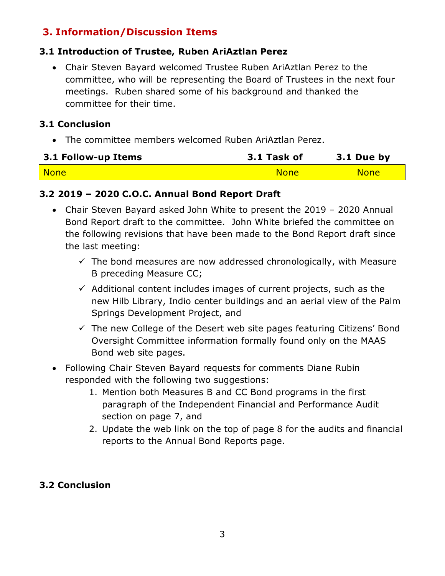## **3. Information/Discussion Items**

### **3.1 Introduction of Trustee, Ruben AriAztlan Perez**

• Chair Steven Bayard welcomed Trustee Ruben AriAztlan Perez to the committee, who will be representing the Board of Trustees in the next four meetings. Ruben shared some of his background and thanked the committee for their time.

#### **3.1 Conclusion**

• The committee members welcomed Ruben AriAztlan Perez.

| 3.1 Follow-up Items | 3.1 Task of | 3.1 Due by  |
|---------------------|-------------|-------------|
| <b>None</b>         | <b>None</b> | <b>None</b> |

### **3.2 2019 – 2020 C.O.C. Annual Bond Report Draft**

- Chair Steven Bayard asked John White to present the 2019 2020 Annual Bond Report draft to the committee. John White briefed the committee on the following revisions that have been made to the Bond Report draft since the last meeting:
	- $\checkmark$  The bond measures are now addressed chronologically, with Measure B preceding Measure CC;
	- $\checkmark$  Additional content includes images of current projects, such as the new Hilb Library, Indio center buildings and an aerial view of the Palm Springs Development Project, and
	- $\checkmark$  The new College of the Desert web site pages featuring Citizens' Bond Oversight Committee information formally found only on the MAAS Bond web site pages.
- Following Chair Steven Bayard requests for comments Diane Rubin responded with the following two suggestions:
	- 1. Mention both Measures B and CC Bond programs in the first paragraph of the Independent Financial and Performance Audit section on page 7, and
	- 2. Update the web link on the top of page 8 for the audits and financial reports to the Annual Bond Reports page.

### **3.2 Conclusion**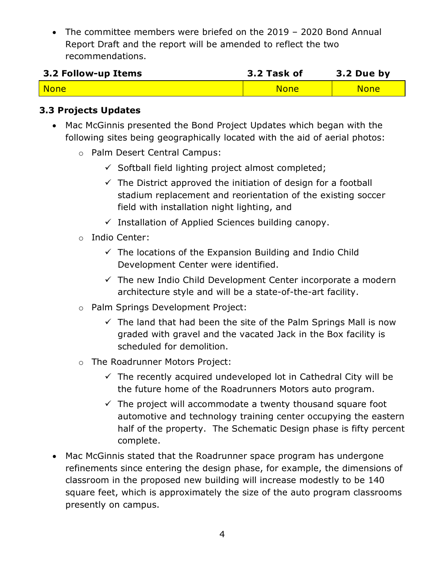• The committee members were briefed on the 2019 – 2020 Bond Annual Report Draft and the report will be amended to reflect the two recommendations.

| 3.2 Follow-up Items | 3.2 Task of | 3.2 Due by  |
|---------------------|-------------|-------------|
| None                | <b>None</b> | <b>None</b> |

#### **3.3 Projects Updates**

- Mac McGinnis presented the Bond Project Updates which began with the following sites being geographically located with the aid of aerial photos:
	- o Palm Desert Central Campus:
		- $\checkmark$  Softball field lighting project almost completed;
		- $\checkmark$  The District approved the initiation of design for a football stadium replacement and reorientation of the existing soccer field with installation night lighting, and
		- $\checkmark$  Installation of Applied Sciences building canopy.
	- o Indio Center:
		- $\checkmark$  The locations of the Expansion Building and Indio Child Development Center were identified.
		- $\checkmark$  The new Indio Child Development Center incorporate a modern architecture style and will be a state-of-the-art facility.
	- o Palm Springs Development Project:
		- $\checkmark$  The land that had been the site of the Palm Springs Mall is now graded with gravel and the vacated Jack in the Box facility is scheduled for demolition.
	- o The Roadrunner Motors Project:
		- $\checkmark$  The recently acquired undeveloped lot in Cathedral City will be the future home of the Roadrunners Motors auto program.
		- $\checkmark$  The project will accommodate a twenty thousand square foot automotive and technology training center occupying the eastern half of the property. The Schematic Design phase is fifty percent complete.
- Mac McGinnis stated that the Roadrunner space program has undergone refinements since entering the design phase, for example, the dimensions of classroom in the proposed new building will increase modestly to be 140 square feet, which is approximately the size of the auto program classrooms presently on campus.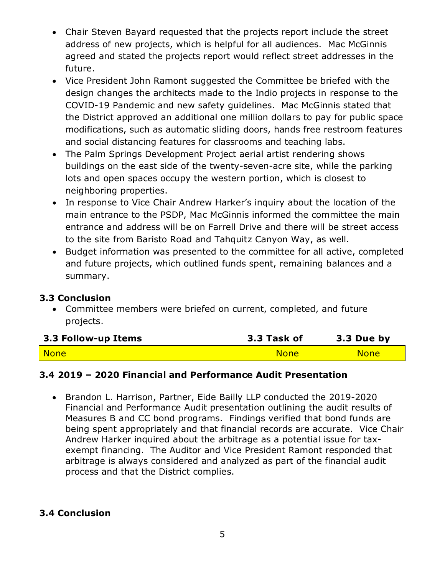- Chair Steven Bayard requested that the projects report include the street address of new projects, which is helpful for all audiences. Mac McGinnis agreed and stated the projects report would reflect street addresses in the future.
- Vice President John Ramont suggested the Committee be briefed with the design changes the architects made to the Indio projects in response to the COVID-19 Pandemic and new safety guidelines. Mac McGinnis stated that the District approved an additional one million dollars to pay for public space modifications, such as automatic sliding doors, hands free restroom features and social distancing features for classrooms and teaching labs.
- The Palm Springs Development Project aerial artist rendering shows buildings on the east side of the twenty-seven-acre site, while the parking lots and open spaces occupy the western portion, which is closest to neighboring properties.
- In response to Vice Chair Andrew Harker's inquiry about the location of the main entrance to the PSDP, Mac McGinnis informed the committee the main entrance and address will be on Farrell Drive and there will be street access to the site from Baristo Road and Tahquitz Canyon Way, as well.
- Budget information was presented to the committee for all active, completed and future projects, which outlined funds spent, remaining balances and a summary.

#### **3.3 Conclusion**

• Committee members were briefed on current, completed, and future projects.

| 3.3 Follow-up Items | 3.3 Task of | 3.3 Due by  |
|---------------------|-------------|-------------|
| <mark>  None</mark> | <b>None</b> | <b>None</b> |

#### **3.4 2019 – 2020 Financial and Performance Audit Presentation**

• Brandon L. Harrison, Partner, Eide Bailly LLP conducted the 2019-2020 Financial and Performance Audit presentation outlining the audit results of Measures B and CC bond programs. Findings verified that bond funds are being spent appropriately and that financial records are accurate. Vice Chair Andrew Harker inquired about the arbitrage as a potential issue for taxexempt financing. The Auditor and Vice President Ramont responded that arbitrage is always considered and analyzed as part of the financial audit process and that the District complies.

#### **3.4 Conclusion**